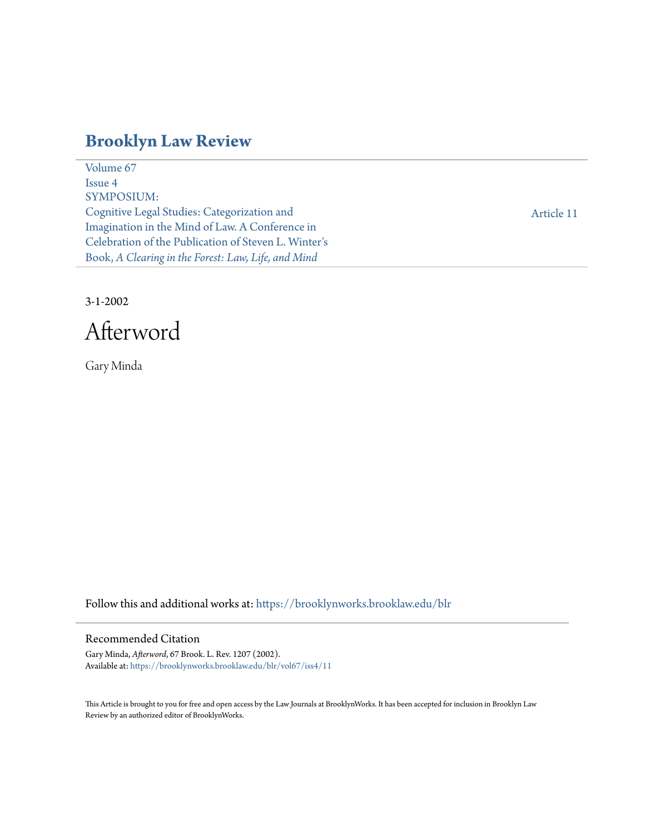# **[Brooklyn Law Review](https://brooklynworks.brooklaw.edu/blr?utm_source=brooklynworks.brooklaw.edu%2Fblr%2Fvol67%2Fiss4%2F11&utm_medium=PDF&utm_campaign=PDFCoverPages)**

[Volume 67](https://brooklynworks.brooklaw.edu/blr/vol67?utm_source=brooklynworks.brooklaw.edu%2Fblr%2Fvol67%2Fiss4%2F11&utm_medium=PDF&utm_campaign=PDFCoverPages) [Issue 4](https://brooklynworks.brooklaw.edu/blr/vol67/iss4?utm_source=brooklynworks.brooklaw.edu%2Fblr%2Fvol67%2Fiss4%2F11&utm_medium=PDF&utm_campaign=PDFCoverPages) SYMPOSIUM: Cognitive Legal Studies: Categorization and Imagination in the Mind of Law. A Conference in Celebration of the Publication of Steven L. Winter's Book, *A Clearing in the Forest: Law, Life, and Mind*

[Article 11](https://brooklynworks.brooklaw.edu/blr/vol67/iss4/11?utm_source=brooklynworks.brooklaw.edu%2Fblr%2Fvol67%2Fiss4%2F11&utm_medium=PDF&utm_campaign=PDFCoverPages)

3-1-2002

Afterword

Gary Minda

Follow this and additional works at: [https://brooklynworks.brooklaw.edu/blr](https://brooklynworks.brooklaw.edu/blr?utm_source=brooklynworks.brooklaw.edu%2Fblr%2Fvol67%2Fiss4%2F11&utm_medium=PDF&utm_campaign=PDFCoverPages)

## Recommended Citation

Gary Minda, *Afterword*, 67 Brook. L. Rev. 1207 (2002). Available at: [https://brooklynworks.brooklaw.edu/blr/vol67/iss4/11](https://brooklynworks.brooklaw.edu/blr/vol67/iss4/11?utm_source=brooklynworks.brooklaw.edu%2Fblr%2Fvol67%2Fiss4%2F11&utm_medium=PDF&utm_campaign=PDFCoverPages)

This Article is brought to you for free and open access by the Law Journals at BrooklynWorks. It has been accepted for inclusion in Brooklyn Law Review by an authorized editor of BrooklynWorks.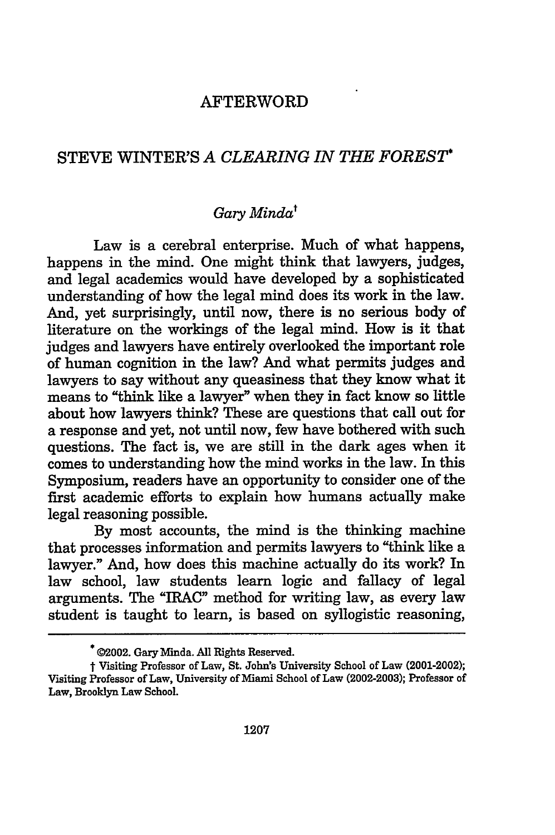## AFTERWORD

## STEVE WINTER'S *A CLEARING IN THE FOREST\**

## *Gary Mindat*

Law is a cerebral enterprise. Much of what happens, happens in the mind. One might think that lawyers, judges, and legal academics would have developed by a sophisticated understanding of how the legal mind does its work in the law. And, yet surprisingly, until now, there is no serious body of literature on the workings of the legal mind. How is it that judges and lawyers have entirely overlooked the important role of human cognition in the law? And what permits judges and lawyers to say without any queasiness that they know what it means to "think like a lawyer" when they in fact know so little about how lawyers think? These are questions that call out for a response and yet, not until now, few have bothered with such questions. The fact is, we are still in the dark ages when it comes to understanding how the mind works in the law. In this Symposium, readers have an opportunity to consider one of the first academic efforts to explain how humans actually make legal reasoning possible.

By most accounts, the mind is the thinking machine that processes information and permits lawyers to "think like a lawyer." And, how does this machine actually do its work? In law school, law students learn logic and fallacy of legal arguments. The "IRAC" method for writing law, as every law student is taught to learn, is based on syllogistic reasoning,

**<sup>\*</sup>** 02002. Gary Minda. **All** Rights Reserved.

t Visiting Professor of Law, St. John's University School of Law (2001-2002); Visiting Professor of Law, University of Miami School of Law (2002-2003); Professor of Law, Brooklyn Law School.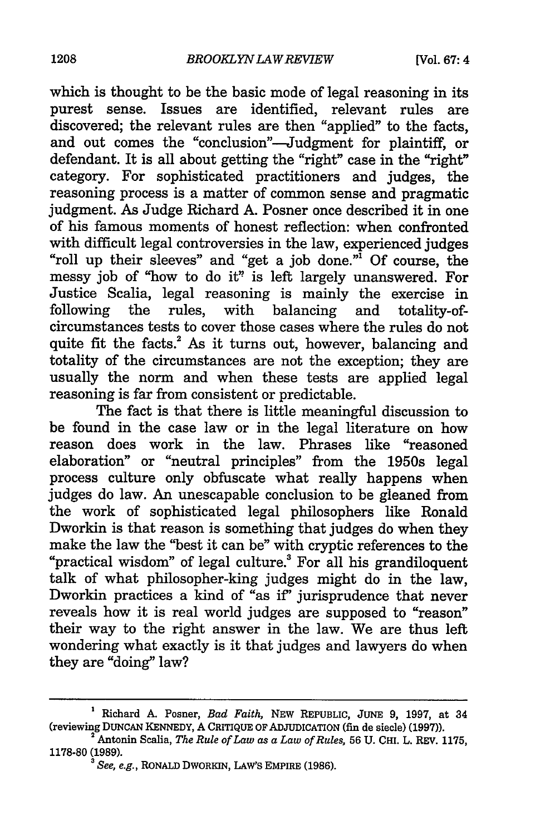which is thought to be the basic mode of legal reasoning in its purest sense. Issues are identified, relevant rules are discovered; the relevant rules are then "applied" to the facts, and out comes the "conclusion"-Judgment for plaintiff, or defendant. It is all about getting the "right" case in the "right" category. For sophisticated practitioners and judges, the reasoning process is a matter of common sense and pragmatic judgment. As Judge Richard A. Posner once described it in one of his famous moments of honest reflection: when confronted "roll up their sleeves" and "get a job done."<sup>1</sup> Of course, the messy job of "how to do it" is left largely unanswered. For Justice Scalia, legal reasoning is mainly the exercise in following the rules, with balancing and totality-ofcircumstances tests to cover those cases where the rules do not quite fit the facts.<sup>2</sup> As it turns out, however, balancing and totality of the circumstances are not the exception; they are usually the norm and when these tests are applied legal reasoning is far from consistent or predictable.

The fact is that there is little meaningful discussion to be found in the case law or in the legal literature on how reason does work in the law. Phrases like "reasoned elaboration" or "neutral principles" from the 1950s legal process culture only obfuscate what really happens when judges do law. An unescapable conclusion to be gleaned from the work of sophisticated legal philosophers like Ronald Dworkin is that reason is something that judges do when they make the law the "best it can be" with cryptic references to the "practical wisdom" of legal culture.' For all his grandiloquent talk of what philosopher-king judges might do in the law, Dworkin practices a kind of "as if' jurisprudence that never reveals how it is real world judges are supposed to "reason" their way to the right answer in the law. We are thus left wondering what exactly is it that judges and lawyers do when they are "doing" law?

**<sup>&#</sup>x27; Richard A. Posner,** *Bad Faith,* **NEW REPUBLIC, JUNE 9, 1997, at 34 (reviewing DUNCAN KENNEDY, A CRITIQUE OF** ADJUDICATION **(fin de siecle) (1997)). Antonin** Scalia, *The Rule of Law as a Law of Rules,* **56** U. CHI. L. REV. **1175,**

**<sup>1178-80 (1989).</sup>**

**<sup>3</sup>***See, e.g.,* RONALD **DWORKIN,** LAW'S **EMPIRE (1986).**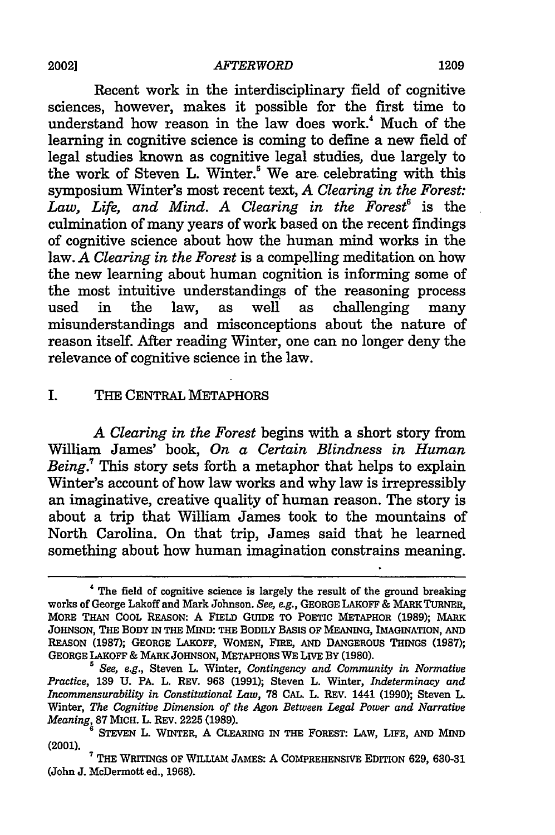Recent work in the interdisciplinary field of cognitive sciences, however, makes it possible for the first time to understand how reason in the law does work.<sup>4</sup> Much of the learning in cognitive science is coming to define a new field of legal studies known as cognitive legal studies, due largely to the work of Steven L. Winter.<sup>5</sup> We are celebrating with this symposium Winter's most recent text, *A Clearing in the Forest:* Law, Life, and Mind. A Clearing in the Forest<sup>6</sup> is the culmination of many years of work based on the recent findings of cognitive science about how the human mind works in the law. *A Clearing in the Forest* is a compelling meditation on how the new learning about human cognition is informing some of the most intuitive understandings of the reasoning process used in the law, as well as challenging many misunderstandings and misconceptions about the nature of reason itself. After reading Winter, one can no longer deny the relevance of cognitive science in the law.

#### **I.** THE CENTRAL METAPHORS

*A Clearing in the Forest* begins with a short story from William James' book, *On a Certain Blindness in Human Being.7* This story sets forth a metaphor that helps to explain Winter's account of how law works and why law is irrepressibly an imaginative, creative quality of human reason. The story is about a trip that William James took to the mountains of North Carolina. On that trip, James said that he learned something about how human imagination constrains meaning.

<sup>4</sup> The field of cognitive science is largely the result of the ground breaking works of George Lakoff and Mark Johnson. *See, e.g.,* GEORGE **LAKOFF** & MARK TURNER, MORE **THAN COOL REASON:** A FIELD **GUIDE** TO POETIc METAPHOR **(1989);** MARK JOHNSON, **THE BODY IN THE MIND: THE BODILY BASIS OF MEANING, IMAGINATION, AND REASON (1987); GEORGE LAKOFF, WOMEN, FIRE, AND DANGEROUS THINGS (1987); GEORGE LAKOFF & MARK JOHNSON, METAPHORS** WE **LIVE By (1980).**

*<sup>5</sup> See, e.g.,* Steven L. Winter, *Contingency and Community in Normative Practice,* **139 U. PA.** L. REV. **963 (1991);** Steven L. Winter, *Indeterminacy and Incommensurability in Constitutional Law,* **78 CAL.** L. REV. 1441 (1990); Steven L. Winter, *The Cognitive Dimension of the Agon Between Legal Power and Narrative Meaning,* **87 MICH.** L. REV. **2225 (1989).**

**<sup>6</sup>** STEVEN L. WINTER, A CLEARING IN THE FOREST: LAW, LIFE, AND MIND

<sup>(2001).</sup> <sup>7</sup> THE WRITINGS **OF WILLIAM JAMES: A COMPREHENSIVE EDITION 629, 630-31** (John J. McDermott ed., **1968).**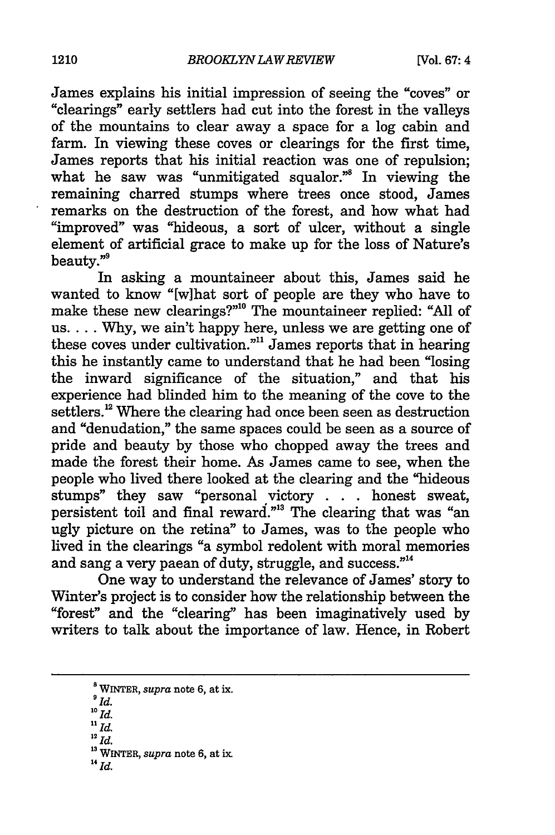James explains his initial impression of seeing the "coves" or "clearings" early settlers had cut into the forest in the valleys of the mountains to clear away a space for a log cabin and farm. In viewing these coves or clearings for the first time, James reports that his initial reaction was one of repulsion; what he saw was "unmitigated squalor." In viewing the remaining charred stumps where trees once stood, James remarks on the destruction of the forest, and how what had "improved" was "hideous, a sort of ulcer, without a single element of artificial grace to make up for the loss of Nature's beauty."9

In asking a mountaineer about this, James said he wanted to know "[w]hat sort of people are they who have to make these new clearings?"<sup>10</sup> The mountaineer replied: "All of us.... Why, we ain't happy here, unless we are getting one of these coves under cultivation."" James reports that in hearing this he instantly came to understand that he had been "losing the inward significance of the situation," and that his experience had blinded him to the meaning of the cove to the settlers.<sup>12</sup> Where the clearing had once been seen as destruction and "denudation," the same spaces could be seen as a source of pride and beauty by those who chopped away the trees and made the forest their home. As James came to see, when the people who lived there looked at the clearing and the "hideous stumps" they saw "personal victory **. . .** honest sweat, persistent toil and final reward."<sup>3</sup> The clearing that was "an ugly picture on the retina" to James, was to the people who lived in the clearings "a symbol redolent with moral memories and sang a very paean of duty, struggle, and success."<sup>14</sup>

One way to understand the relevance of James' story to Winter's project is to consider how the relationship between the "forest" and the "clearing" has been imaginatively used by writers to talk about the importance of law. Hence, in Robert

- *1 1Id.*
- 12 *Id.*

**14** Id.

 $\sum_{a}^{a}$  WINTER, *supra* note 6, at ix.<br>
<sup>10</sup> *Id.*  $\sum_{b}$ 

**<sup>13</sup>** WINTER, *supra* note 6, at **ix.**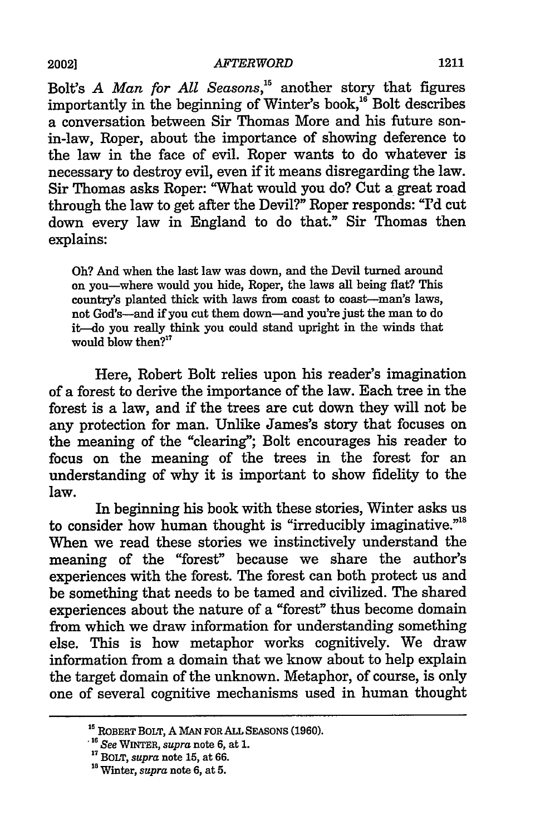Bolt's *A Man for All Seasons*,<sup>15</sup> another story that figures importantly in the beginning of Winter's book,<sup>16</sup> Bolt describes a conversation between Sir Thomas More and his future sonin-law, Roper, about the importance of showing deference to the law in the face of evil. Roper wants to do whatever is necessary to destroy evil, even if it means disregarding the law. Sir Thomas asks Roper: "What would you do? Cut a great road through the law to get after the Devil?" Roper responds: "I'd cut down every law in England to do that." Sir Thomas then explains:

Oh? And when the last law was down, and the Devil turned around on you-where would you hide, Roper, the laws all being flat? This country's planted thick with laws from coast to coast-man's laws, not God's-and if you cut them down-and you're just the man to do it-do you really think you could stand upright in the winds that would blow then $2^{17}$ 

Here, Robert Bolt relies upon his reader's imagination of a forest to derive the importance of the law. Each tree in the forest is a law, and if the trees are cut down they will not be any protection for man. Unlike James's story that focuses on the meaning of the "clearing"; Bolt encourages his reader to focus on the meaning of the trees in the forest for an understanding of why it is important to show fidelity to the law.

In beginning his book with these stories, Winter asks us to consider how human thought is "irreducibly imaginative."<sup>18</sup> When we read these stories we instinctively understand the meaning of the "forest" because we share the author's experiences with the forest. The forest can both protect us and be something that needs to be tamed and civilized. The shared experiences about the nature of a "forest" thus become domain from which we draw information for understanding something else. This is how metaphor works cognitively. We draw information from a domain that we know about to help explain the target domain of the unknown. Metaphor, of course, is only one of several cognitive mechanisms used in human thought

**<sup>&#</sup>x27;s ROBERT BOLT,** A **MAN FOR ALL SEASONS (1960).**

*<sup>&</sup>quot; See* WINTER, *supra* **note 6,** at **1.**

**<sup>&</sup>quot;7** BOLT, *supra* note **15,** at **66.**

**<sup>&</sup>quot;a** Winter, *supra* note **6, at 5.**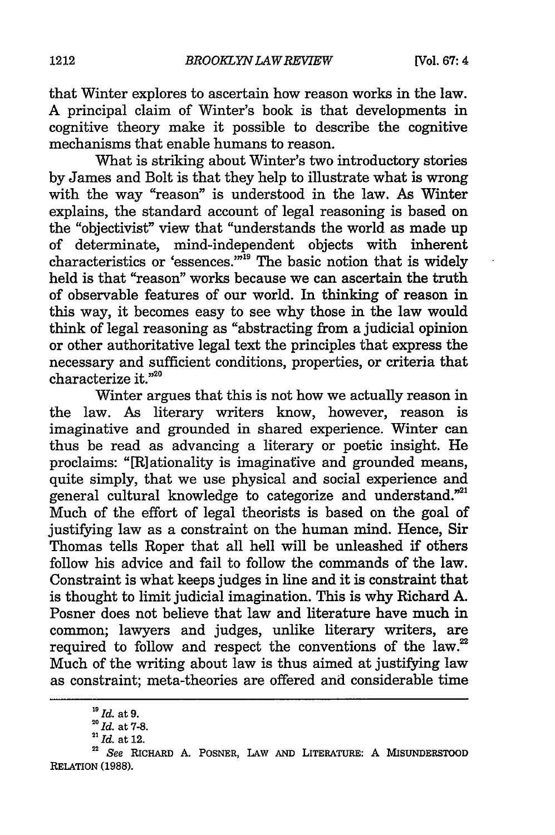that Winter explores to ascertain how reason works in the law. A principal claim of Winter's book is that developments in cognitive theory make it possible to describe the cognitive mechanisms that enable humans to reason.

What is striking about Winter's two introductory stories by James and Bolt is that they help to illustrate what is wrong with the way "reason" is understood in the law. As Winter explains, the standard account of legal reasoning is based on the "objectivist" view that "understands the world as made up of determinate, mind-independent objects with inherent characteristics or 'essences.'"19 The basic notion that is widely held is that "reason" works because we can ascertain the truth of observable features of our world. In thinking of reason in this way, it becomes easy to see why those in the law would think of legal reasoning as "abstracting from a judicial opinion or other authoritative legal text the principles that express the necessary and sufficient conditions, properties, or criteria that characterize it."<sup>20</sup>

Winter argues that this is not how we actually reason in the law. As literary writers know, however, reason is imaginative and grounded in shared experience. Winter can thus be read as advancing a literary or poetic insight. He proclaims: "[R]ationality is imaginative and grounded means, quite simply, that we use physical and social experience and general cultural knowledge to categorize and understand."<sup>21</sup> Much of the effort of legal theorists is based on the goal of justifying law as a constraint on the human mind. Hence, Sir Thomas tells Roper that all hell will be unleashed if others follow his advice and fail to follow the commands of the law. Constraint is what keeps judges in line and it is constraint that is thought to limit judicial imagination. This is why Richard A. Posner does not believe that law and literature have much in common; lawyers and judges, unlike literary writers, are required to follow and respect the conventions of the law.<sup>22</sup> Much of the writing about law is thus aimed at justifying law as constraint; meta-theories are offered and considerable time

*<sup>&</sup>quot; Id.* at9.

<sup>20</sup> **Id.** at **7-8.**

<sup>21</sup> Id. at **12.**

<sup>22</sup>*See* **RICHARD A.** POSNER, LAW **AND** LITERATURE: **A MSUNDERSTOOD** RELATION **(1988).**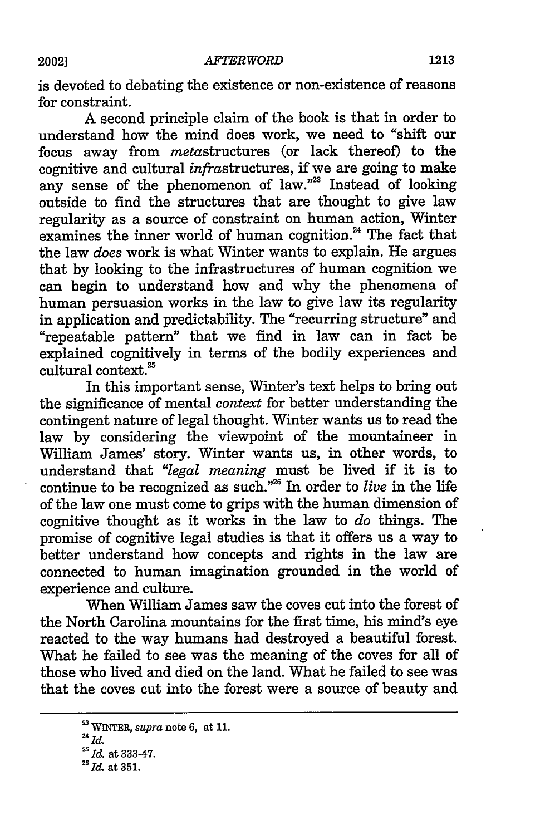is devoted to debating the existence or non-existence of reasons for constraint.

A second principle claim of the book is that in order to understand how the mind does work, we need to "shift our focus away from metastructures (or lack thereof) to the cognitive and cultural infrastructures, if we are going to make any sense of the phenomenon of law."<sup>23</sup> Instead of looking outside to find the structures that are thought to give law regularity as a source of constraint on human action, Winter examines the inner world of human cognition.<sup>24</sup> The fact that the law *does* work is what Winter wants to explain. He argues that by looking to the infrastructures of human cognition we can begin to understand how and why the phenomena of human persuasion works in the law to give law its regularity in application and predictability. The "recurring structure" and "repeatable pattern" that we find in law can in fact be explained cognitively in terms of the bodily experiences and cultural context.<sup>25</sup>

In this important sense, Winter's text helps to bring out the significance of mental *context* for better understanding the contingent nature of legal thought. Winter wants us to read the law by considering the viewpoint of the mountaineer in William James' story. Winter wants us, in other words, to understand that *"legal meaning* must be lived if it is to continue to be recognized as such.<sup>226</sup> In order to *live* in the life of the law one must come to grips with the human dimension of cognitive thought as it works in the law to *do* things. The promise of cognitive legal studies is that it offers us a way to better understand how concepts and rights in the law are connected to human imagination grounded in the world of experience and culture.

When William James saw the coves cut into the forest of the North Carolina mountains for the first time, his mind's eye reacted to the way humans had destroyed a beautiful forest. What he failed to see was the meaning of the coves for all of those who lived and died on the land. What he failed to see was that the coves cut into the forest were a source of beauty and

*<sup>24</sup>*WINTER, *supra* note **6,** at **11.** *Id.*

<sup>&</sup>lt;sup>25</sup> *Id.* at 333-47.

<sup>&</sup>lt;sup>26</sup> Id. at 351.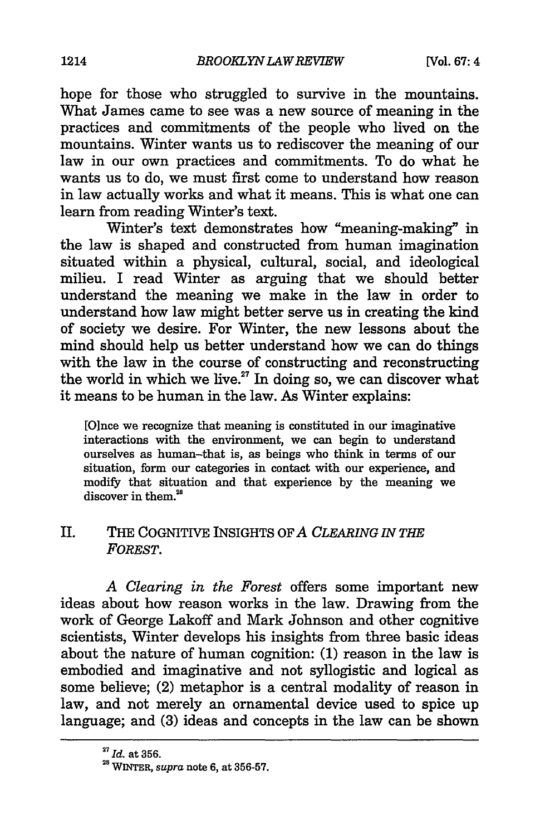hope for those who struggled to survive in the mountains. What James came to see was a new source of meaning in the practices and commitments of the people who lived on the mountains. Winter wants us to rediscover the meaning of our law in our own practices and commitments. To do what he wants us to do, we must first come to understand how reason in law actually works and what it means. This is what one can learn from reading Winter's text.

Winter's text demonstrates how "meaning-making" in the law is shaped and constructed from human imagination situated within a physical, cultural, social, and ideological milieu. I read Winter as arguing that we should better understand the meaning we make in the law in order to understand how law might better serve us in creating the kind of society we desire. For Winter, the new lessons about the mind should help us better understand how we can do things with the law in the course of constructing and reconstructing the world in which we live.<sup>27</sup> In doing so, we can discover what it means to be human in the law. As Winter explains:

[Oince we recognize that meaning is constituted in our imaginative interactions with the environment, we can begin to understand ourselves as human-that is, as beings who think in terms of our situation, form our categories in contact with our experience, and modify that situation and that experience by the meaning we discover in them.<sup>28</sup>

#### II. THE COGNITIVE INSIGHTS OF *A CLEARING IN THE FOREST.*

*A Clearing in the Forest* offers some important new ideas about how reason works in the law. Drawing from the work of George Lakoff and Mark Johnson and other cognitive scientists, Winter develops his insights from three basic ideas about the nature of human cognition: (1) reason in the law is embodied and imaginative and not syllogistic and logical as some believe; (2) metaphor is a central modality of reason in law, and not merely an ornamental device used to spice up language; and (3) ideas and concepts in the law can be shown

*<sup>27</sup> Id.* at **356.**

**<sup>28</sup>**WINTER, *supra* note **6,** at **356-57.**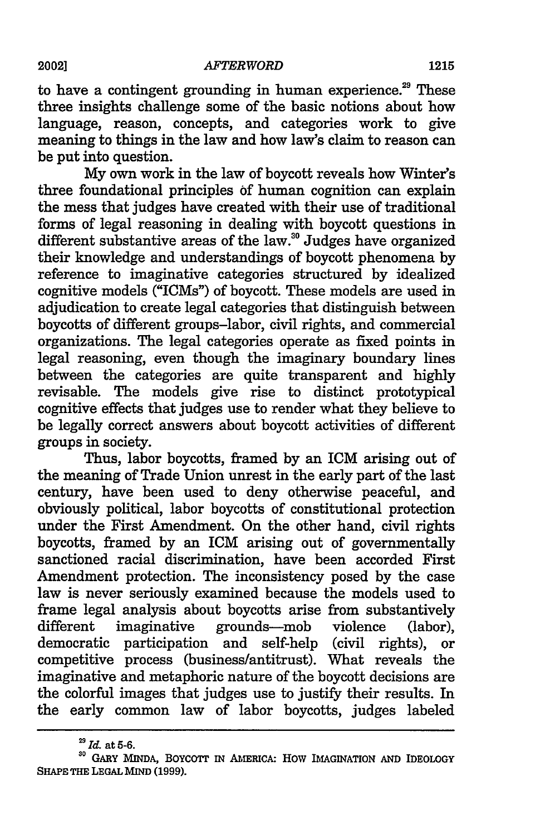to have a contingent grounding in human experience.<sup>29</sup> These three insights challenge some of the basic notions about how language, reason, concepts, and categories work to give meaning to things in the law and how law's claim to reason can

be put into question. My own work in the law of boycott reveals how Winter's three foundational principles of human cognition can explain the mess that judges have created with their use of traditional forms of legal reasoning in dealing with boycott questions in different substantive areas of the law.<sup>30</sup> Judges have organized their knowledge and understandings of boycott phenomena by reference to imaginative categories structured by idealized cognitive models ("ICMs") of boycott. These models are used in adjudication to create legal categories that distinguish between boycotts of different groups-labor, civil rights, and commercial organizations. The legal categories operate as fixed points in legal reasoning, even though the imaginary boundary lines between the categories are quite transparent and highly revisable. The models give rise to distinct prototypical cognitive effects that judges use to render what they believe to be legally correct answers about boycott activities of different groups in society.

Thus, labor boycotts, framed by an ICM arising out of the meaning of Trade Union unrest in the early part of the last century, have been used to deny otherwise peaceful, and obviously political, labor boycotts of constitutional protection under the First Amendment. On the other hand, civil rights boycotts, framed by an ICM arising out of governmentally sanctioned racial discrimination, have been accorded First Amendment protection. The inconsistency posed by the case law is never seriously examined because the models used to frame legal analysis about boycotts arise from substantively different imaginative grounds—mob violence (labor), democratic participation and self-help (civil rights), or competitive process (business/antitrust). What reveals the imaginative and metaphoric nature of the boycott decisions are the colorful images that judges use to justify their results. In the early common law of labor boycotts, judges labeled

*<sup>29</sup> Id.* at 5-6.

**<sup>30</sup> GARY** MINDA, **BOYCOTt IN AMERICA:** How **IMAGINATION AND** IDEOLOGY **SHAPE THE LEGAL** MIND **(1999).**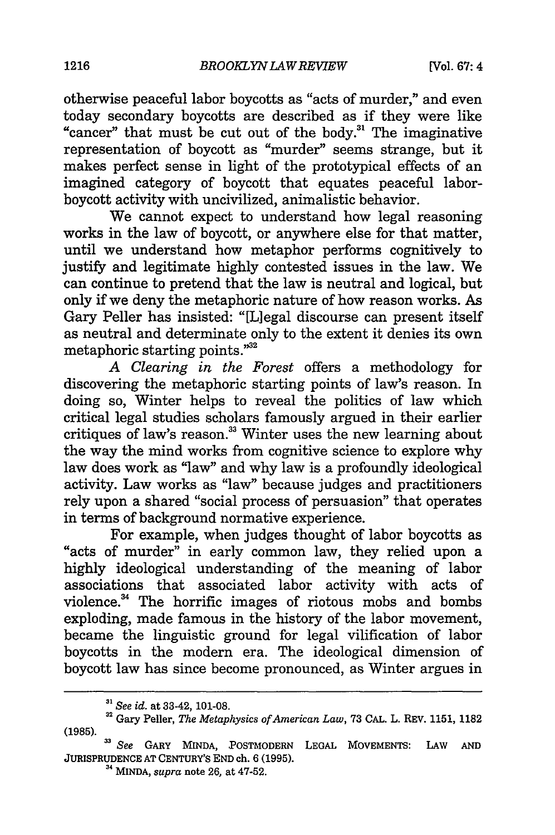otherwise peaceful labor boycotts as "acts of murder," and even today secondary boycotts are described as if they were like "cancer" that must be cut out of the body.3' The imaginative representation of boycott as "murder" seems strange, but it makes perfect sense in light of the prototypical effects of an imagined category of boycott that equates peaceful laborboycott activity with uncivilized, animalistic behavior.

We cannot expect to understand how legal reasoning works in the law of boycott, or anywhere else for that matter, until we understand how metaphor performs cognitively to justify and legitimate highly contested issues in the law. We can continue to pretend that the law is neutral and logical, but only if we deny the metaphoric nature of how reason works. As Gary Peller has insisted: "[Llegal discourse can present itself as neutral and determinate only to the extent it denies its own metaphoric starting points."<sup>32</sup>

*A Clearing in the Forest* offers a methodology for discovering the metaphoric starting points of law's reason. In doing so, Winter helps to reveal the politics of law which critical legal studies scholars famously argued in their earlier critiques of law's reason.<sup>33</sup> Winter uses the new learning about the way the mind works from cognitive science to explore why law does work as "law" and why law is a profoundly ideological activity. Law works as "law" because judges and practitioners rely upon a shared "social process of persuasion" that operates in terms of background normative experience.

For example, when judges thought of labor boycotts as "acts of murder" in early common law, they relied upon a highly ideological understanding of the meaning of labor associations that associated labor activity with acts of violence.<sup>34</sup> The horrific images of riotous mobs and bombs exploding, made famous in the history of the labor movement, became the linguistic ground for legal vilification of labor boycotts in the modern era. The ideological dimension of boycott law has since become pronounced, as Winter argues in

*<sup>&</sup>quot;' See id.* at **33-42, 101-08.**

**<sup>32</sup>**Gary Peller, *The Metaphysics of American Law,* **73 CAL.** L. REV. **1151, 1182 (1985).**

*See* GARY MINDA, POSTMODERN **LEGAL MOVEMENTS: LAW AND JURISPRUDENCE AT** CENTURY'S **END ch. 6 (1995).** <sup>34</sup>**MINDA,** *supra* note **26,** at 47-52.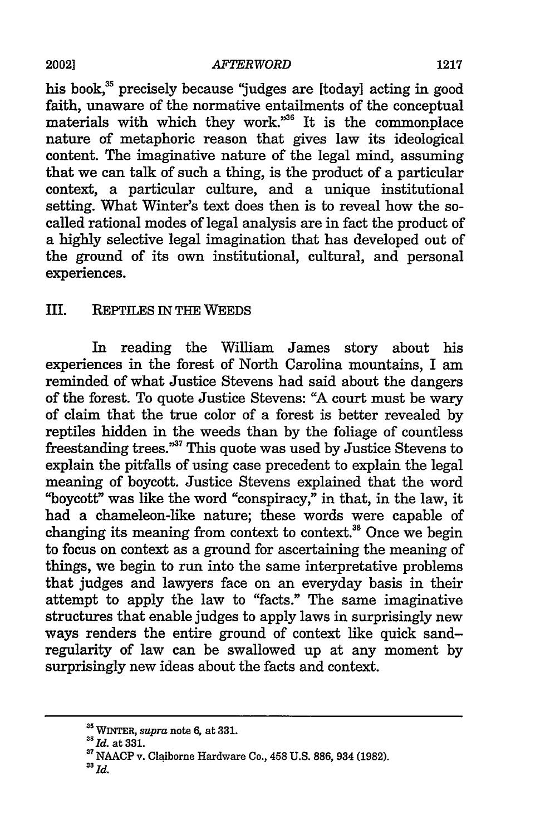his book,<sup>35</sup> precisely because "judges are [today] acting in good faith, unaware of the normative entailments of the conceptual materials with which they work."<sup>36</sup> It is the commonplace nature of metaphoric reason that gives law its ideological content. The imaginative nature of the legal mind, assuming that we can talk of such a thing, is the product of a particular context, a particular culture, and a unique institutional setting. What Winter's text does then is to reveal how the socalled rational modes of legal analysis are in fact the product of a highly selective legal imagination that has developed out of the ground of its own institutional, cultural, and personal experiences.

## III. REPTILES IN THE WEEDS

In reading the William James story about his experiences in the forest of North Carolina mountains, I am reminded of what Justice Stevens had said about the dangers of the forest. To quote Justice Stevens: "A court must be wary of claim that the true color of a forest is better revealed by reptiles hidden in the weeds than by the foliage of countless freestanding trees."<sup>37</sup> This quote was used by Justice Stevens to explain the pitfalls of using case precedent to explain the legal meaning of boycott. Justice Stevens explained that the word "boycott" was like the word "conspiracy," in that, in the law, it had a chameleon-like nature; these words were capable of changing its meaning from context to context.<sup>38</sup> Once we begin to focus on context as a ground for ascertaining the meaning of things, we begin to run into the same interpretative problems that judges and lawyers face on an everyday basis in their attempt to apply the law to "facts." The same imaginative structures that enable judges to apply laws in surprisingly new ways renders the entire ground of context like quick sandregularity of law can be swallowed up at any moment by surprisingly new ideas about the facts and context.

WINTER, *supra* note **6,** at **331.**

*<sup>&</sup>quot;Id.* at 331.

**<sup>37</sup>**NAACP v. Claiborne Hardware Co., 458 U.S. **886,** 934 (1982).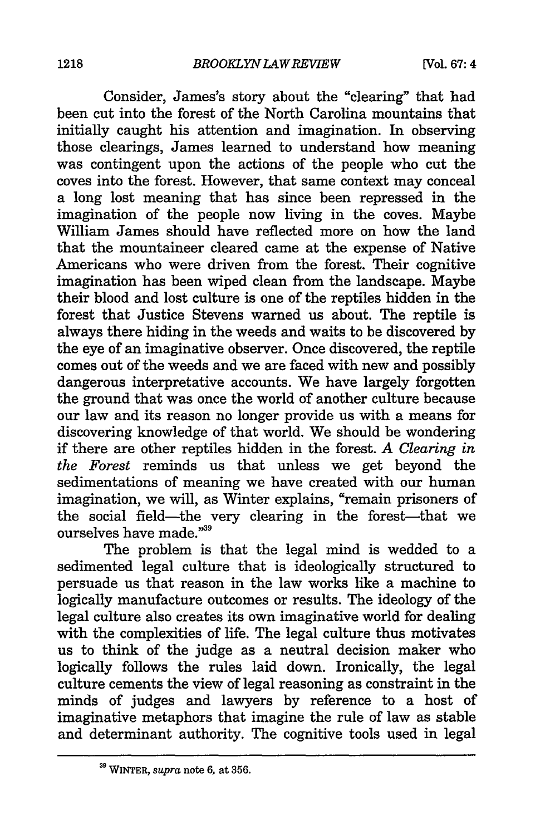Consider, James's story about the "clearing" that had been cut into the forest of the North Carolina mountains that initially caught his attention and imagination. In observing those clearings, James learned to understand how meaning was contingent upon the actions of the people who cut the coves into the forest. However, that same context may conceal a long lost meaning that has since been repressed in the imagination of the people now living in the coves. Maybe William James should have reflected more on how the land that the mountaineer cleared came at the expense of Native Americans who were driven from the forest. Their cognitive imagination has been wiped clean from the landscape. Maybe their blood and lost culture is one of the reptiles hidden in the forest that Justice Stevens warned us about. The reptile is always there hiding in the weeds and waits to be discovered by the eye of an imaginative observer. Once discovered, the reptile comes out of the weeds and we are faced with new and possibly dangerous interpretative accounts. We have largely forgotten the ground that was once the world of another culture because our law and its reason no longer provide us with a means for discovering knowledge of that world. We should be wondering if there are other reptiles hidden in the forest. *A Clearing in the Forest* reminds us that unless we get beyond the sedimentations of meaning we have created with our human imagination, we will, as Winter explains, "remain prisoners of the social field-the very clearing in the forest-that we ourselves have made."<sup>39</sup>

The problem is that the legal mind is wedded to a sedimented legal culture that is ideologically structured to persuade us that reason in the law works like a machine to logically manufacture outcomes or results. The ideology of the legal culture also creates its own imaginative world for dealing with the complexities of life. The legal culture thus motivates us to think of the judge as a neutral decision maker who logically follows the rules laid down. Ironically, the legal culture cements the view of legal reasoning as constraint in the minds of judges and lawyers by reference to a host of imaginative metaphors that imagine the rule of law as stable and determinant authority. The cognitive tools used in legal

*<sup>39</sup>* WINTER, *supra* note **6,** at **356.**